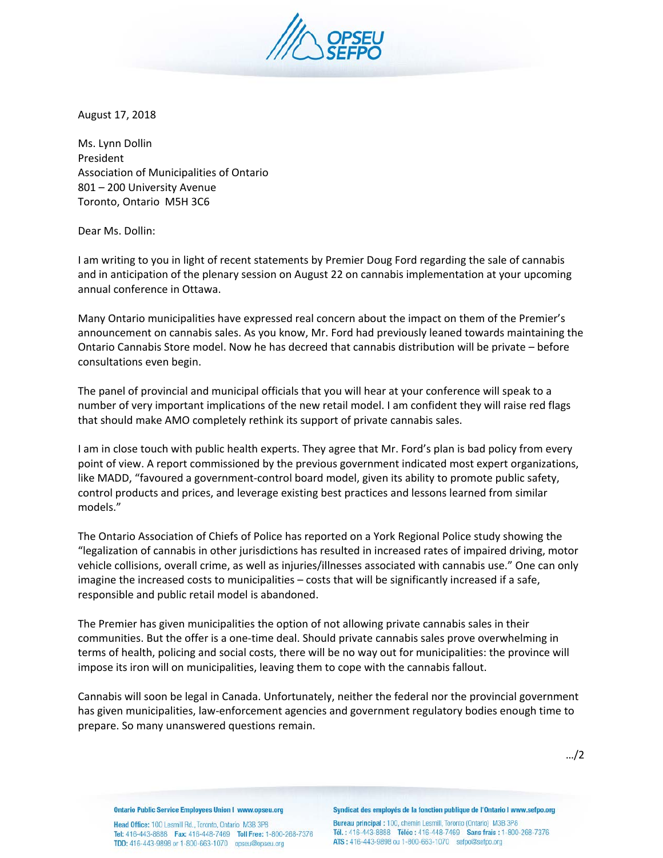

August 17, 2018

Ms. Lynn Dollin President Association of Municipalities of Ontario 801 – 200 University Avenue Toronto, Ontario M5H 3C6

Dear Ms. Dollin:

I am writing to you in light of recent statements by Premier Doug Ford regarding the sale of cannabis and in anticipation of the plenary session on August 22 on cannabis implementation at your upcoming annual conference in Ottawa.

Many Ontario municipalities have expressed real concern about the impact on them of the Premier's announcement on cannabis sales. As you know, Mr. Ford had previously leaned towards maintaining the Ontario Cannabis Store model. Now he has decreed that cannabis distribution will be private – before consultations even begin.

The panel of provincial and municipal officials that you will hear at your conference will speak to a number of very important implications of the new retail model. I am confident they will raise red flags that should make AMO completely rethink its support of private cannabis sales.

I am in close touch with public health experts. They agree that Mr. Ford's plan is bad policy from every point of view. A report commissioned by the previous government indicated most expert organizations, like MADD, "favoured a government-control board model, given its ability to promote public safety, control products and prices, and leverage existing best practices and lessons learned from similar models."

The Ontario Association of Chiefs of Police has reported on a York Regional Police study showing the "legalization of cannabis in other jurisdictions has resulted in increased rates of impaired driving, motor vehicle collisions, overall crime, as well as injuries/illnesses associated with cannabis use." One can only imagine the increased costs to municipalities – costs that will be significantly increased if a safe, responsible and public retail model is abandoned.

The Premier has given municipalities the option of not allowing private cannabis sales in their communities. But the offer is a one-time deal. Should private cannabis sales prove overwhelming in terms of health, policing and social costs, there will be no way out for municipalities: the province will impose its iron will on municipalities, leaving them to cope with the cannabis fallout.

Cannabis will soon be legal in Canada. Unfortunately, neither the federal nor the provincial government has given municipalities, law-enforcement agencies and government regulatory bodies enough time to prepare. So many unanswered questions remain.

**Ontario Public Service Employees Union I www.opseu.org** 

Head Office: 100 Lesmill Rd., Toronto, Ontario M3B 3P8 Tel: 416-443-8888 Fax: 416-448-7469 Toll Free: 1-800-268-7376 TDD: 416-443-9898 or 1-800-663-1070 opseu@opseu.org

Syndicat des employés de la fonction publique de l'Ontario I www.sefpo.org

Bureau principal : 100, chemin Lesmill, Toronto (Ontario) M3B 3P8 Tél.: 416-443-8888 Téléc: 416-448-7469 Sans frais: 1-800-268-7376 ATS: 416-443-9898 ou 1-800-663-1070 sefpo@sefpo.org